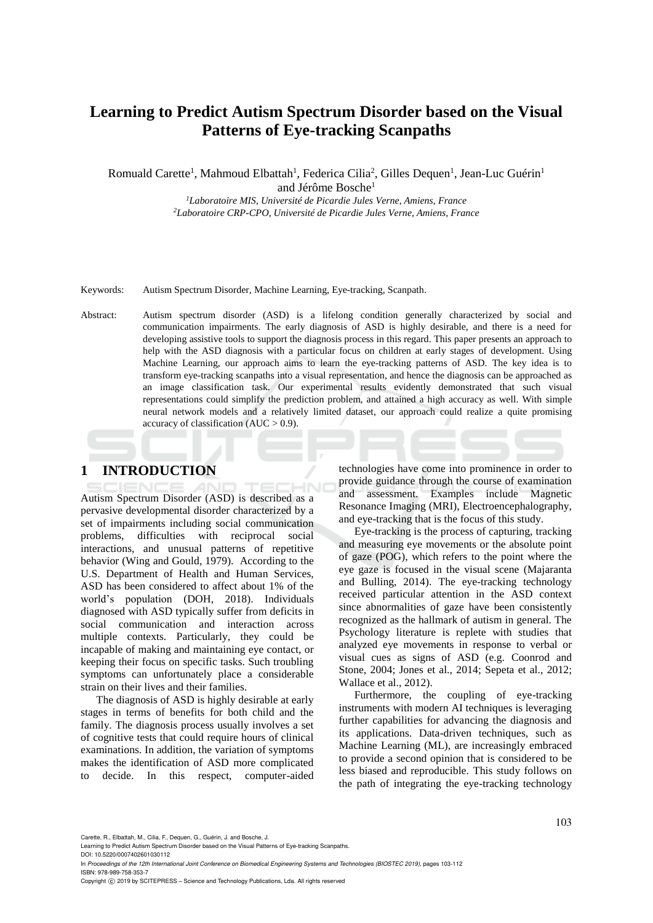# **Learning to Predict Autism Spectrum Disorder based on the Visual Patterns of Eye-tracking Scanpaths**

Romuald Carette<sup>1</sup>, Mahmoud Elbattah<sup>1</sup>, Federica Cilia<sup>2</sup>, Gilles Dequen<sup>1</sup>, Jean-Luc Guérin<sup>1</sup>

and Jérôme Bosche<sup>1</sup>

*<sup>1</sup>Laboratoire MIS, Université de Picardie Jules Verne, Amiens, France <sup>2</sup>Laboratoire CRP-CPO, Université de Picardie Jules Verne, Amiens, France*

Keywords: Autism Spectrum Disorder, Machine Learning, Eye-tracking, Scanpath.

Abstract: Autism spectrum disorder (ASD) is a lifelong condition generally characterized by social and communication impairments. The early diagnosis of ASD is highly desirable, and there is a need for developing assistive tools to support the diagnosis process in this regard. This paper presents an approach to help with the ASD diagnosis with a particular focus on children at early stages of development. Using Machine Learning, our approach aims to learn the eye-tracking patterns of ASD. The key idea is to transform eye-tracking scanpaths into a visual representation, and hence the diagnosis can be approached as an image classification task. Our experimental results evidently demonstrated that such visual representations could simplify the prediction problem, and attained a high accuracy as well. With simple neural network models and a relatively limited dataset, our approach could realize a quite promising accuracy of classification ( $AUC > 0.9$ ).

## **1 INTRODUCTION**

Autism Spectrum Disorder (ASD) is described as a pervasive developmental disorder characterized by a set of impairments including social communication problems, difficulties with reciprocal social interactions, and unusual patterns of repetitive behavior (Wing and Gould, 1979). According to the U.S. Department of Health and Human Services, ASD has been considered to affect about 1% of the world's population (DOH, 2018). Individuals diagnosed with ASD typically suffer from deficits in social communication and interaction across multiple contexts. Particularly, they could be incapable of making and maintaining eye contact, or keeping their focus on specific tasks. Such troubling symptoms can unfortunately place a considerable strain on their lives and their families.

The diagnosis of ASD is highly desirable at early stages in terms of benefits for both child and the family. The diagnosis process usually involves a set of cognitive tests that could require hours of clinical examinations. In addition, the variation of symptoms makes the identification of ASD more complicated to decide. In this respect, computer-aided

technologies have come into prominence in order to provide guidance through the course of examination and assessment. Examples include Magnetic Resonance Imaging (MRI), Electroencephalography, and eye-tracking that is the focus of this study.

Eye-tracking is the process of capturing, tracking and measuring eye movements or the absolute point of gaze (POG), which refers to the point where the eye gaze is focused in the visual scene (Majaranta and Bulling, 2014). The eye-tracking technology received particular attention in the ASD context since abnormalities of gaze have been consistently recognized as the hallmark of autism in general. The Psychology literature is replete with studies that analyzed eye movements in response to verbal or visual cues as signs of ASD (e.g. Coonrod and Stone, 2004; Jones et al., 2014; Sepeta et al., 2012; Wallace et al., 2012).

Furthermore, the coupling of eye-tracking instruments with modern AI techniques is leveraging further capabilities for advancing the diagnosis and its applications. Data-driven techniques, such as Machine Learning (ML), are increasingly embraced to provide a second opinion that is considered to be less biased and reproducible. This study follows on the path of integrating the eye-tracking technology

Carette, R., Elbattah, M., Cilia, F., Dequen, G., Guérin, J. and Bosche, J.

Learning to Predict Autism Spectrum Disorder based on the Visual Patterns of Eye-tracking Scanpaths. DOI: 10.5220/0007402601030112

Copyright © 2019 by SCITEPRESS - Science and Technology Publications, Lda. All rights reserved

In *Proceedings of the 12th International Joint Conference on Biomedical Engineering Systems and Technologies (BIOSTEC 2019)*, pages 103-112 ISBN: 978-989-758-353-7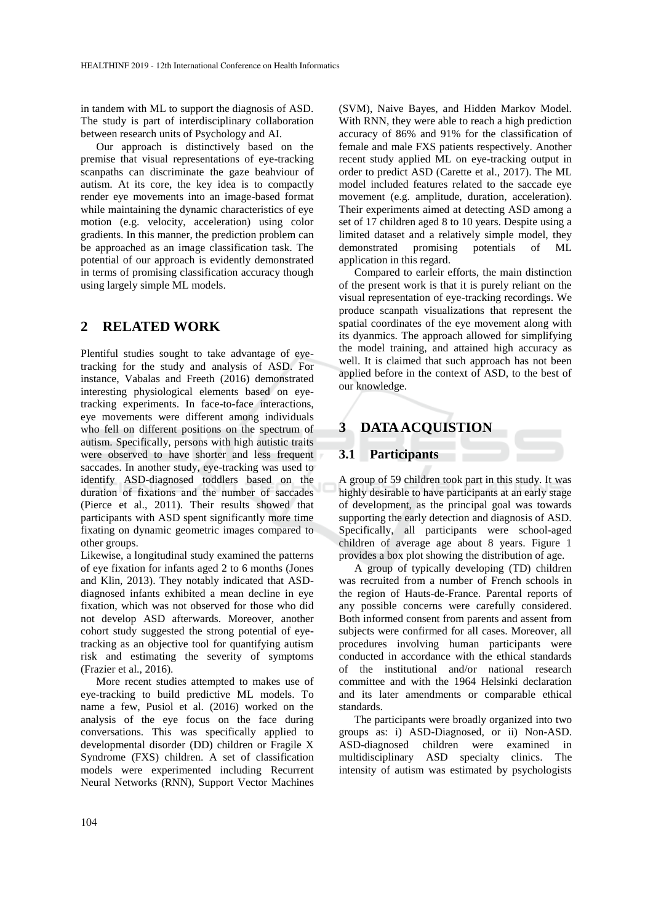in tandem with ML to support the diagnosis of ASD. The study is part of interdisciplinary collaboration between research units of Psychology and AI.

Our approach is distinctively based on the premise that visual representations of eye-tracking scanpaths can discriminate the gaze beahviour of autism. At its core, the key idea is to compactly render eye movements into an image-based format while maintaining the dynamic characteristics of eye motion (e.g. velocity, acceleration) using color gradients. In this manner, the prediction problem can be approached as an image classification task. The potential of our approach is evidently demonstrated in terms of promising classification accuracy though using largely simple ML models.

## **2 RELATED WORK**

Plentiful studies sought to take advantage of eyetracking for the study and analysis of ASD. For instance, Vabalas and Freeth (2016) demonstrated interesting physiological elements based on eyetracking experiments. In face-to-face interactions, eye movements were different among individuals who fell on different positions on the spectrum of autism. Specifically, persons with high autistic traits were observed to have shorter and less frequent saccades. In another study, eye-tracking was used to identify ASD-diagnosed toddlers based on the duration of fixations and the number of saccades (Pierce et al., 2011). Their results showed that participants with ASD spent significantly more time fixating on dynamic geometric images compared to other groups.

Likewise, a longitudinal study examined the patterns of eye fixation for infants aged 2 to 6 months (Jones and Klin, 2013). They notably indicated that ASDdiagnosed infants exhibited a mean decline in eye fixation, which was not observed for those who did not develop ASD afterwards. Moreover, another cohort study suggested the strong potential of eyetracking as an objective tool for quantifying autism risk and estimating the severity of symptoms (Frazier et al., 2016).

More recent studies attempted to makes use of eye-tracking to build predictive ML models. To name a few, Pusiol et al. (2016) worked on the analysis of the eye focus on the face during conversations. This was specifically applied to developmental disorder (DD) children or Fragile X Syndrome (FXS) children. A set of classification models were experimented including Recurrent Neural Networks (RNN), Support Vector Machines

(SVM), Naive Bayes, and Hidden Markov Model. With RNN, they were able to reach a high prediction accuracy of 86% and 91% for the classification of female and male FXS patients respectively. Another recent study applied ML on eye-tracking output in order to predict ASD (Carette et al., 2017). The ML model included features related to the saccade eye movement (e.g. amplitude, duration, acceleration). Their experiments aimed at detecting ASD among a set of 17 children aged 8 to 10 years. Despite using a limited dataset and a relatively simple model, they demonstrated promising potentials of ML application in this regard.

Compared to earleir efforts, the main distinction of the present work is that it is purely reliant on the visual representation of eye-tracking recordings. We produce scanpath visualizations that represent the spatial coordinates of the eye movement along with its dyanmics. The approach allowed for simplifying the model training, and attained high accuracy as well. It is claimed that such approach has not been applied before in the context of ASD, to the best of our knowledge.

## **3 DATA ACQUISTION**

#### **3.1 Participants**

A group of 59 children took part in this study. It was highly desirable to have participants at an early stage of development, as the principal goal was towards supporting the early detection and diagnosis of ASD. Specifically, all participants were school-aged children of average age about 8 years. Figure 1 provides a box plot showing the distribution of age.

A group of typically developing (TD) children was recruited from a number of French schools in the region of Hauts-de-France. Parental reports of any possible concerns were carefully considered. Both informed consent from parents and assent from subjects were confirmed for all cases. Moreover, all procedures involving human participants were conducted in accordance with the ethical standards of the institutional and/or national research committee and with the 1964 Helsinki declaration and its later amendments or comparable ethical standards.

The participants were broadly organized into two groups as: i) ASD-Diagnosed, or ii) Non-ASD. ASD-diagnosed children were examined in multidisciplinary ASD specialty clinics. The intensity of autism was estimated by psychologists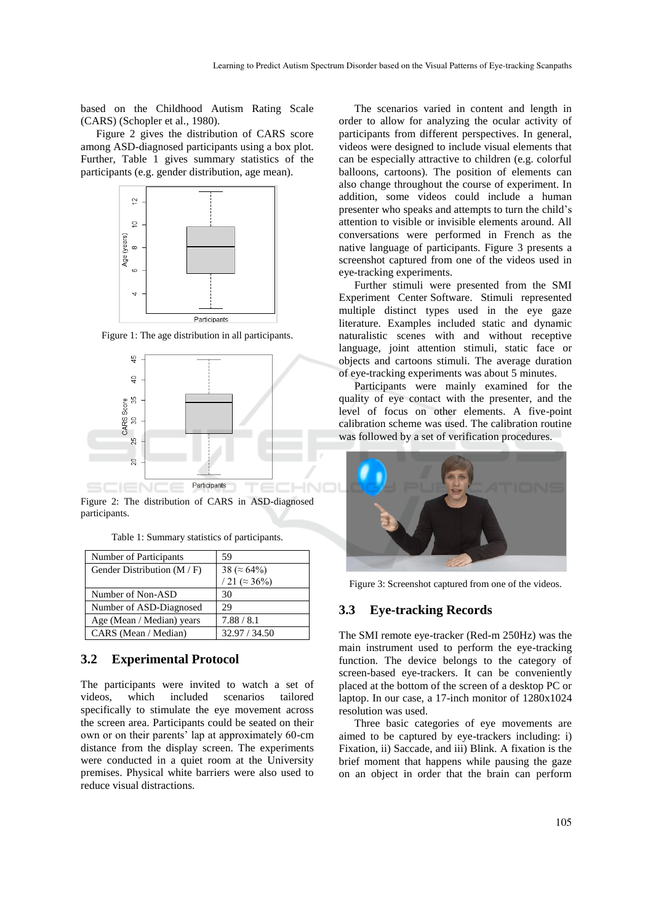based on the Childhood Autism Rating Scale (CARS) (Schopler et al., 1980).

Figure 2 gives the distribution of CARS score among ASD-diagnosed participants using a box plot. Further, Table 1 gives summary statistics of the participants (e.g. gender distribution, age mean).



Figure 1: The age distribution in all participants.



Figure 2: The distribution of CARS in ASD-diagnosed participants.

Table 1: Summary statistics of participants.

| Number of Participants        | 59                             |
|-------------------------------|--------------------------------|
| Gender Distribution $(M / F)$ | 38 ( $\approx 64\%$ )          |
|                               | $\sqrt{21}$ ( $\approx 36\%$ ) |
| Number of Non-ASD             | 30                             |
| Number of ASD-Diagnosed       | 29                             |
| Age (Mean / Median) years     | 7.88 / 8.1                     |
| CARS (Mean / Median)          | 32.97 / 34.50                  |

#### **3.2 Experimental Protocol**

The participants were invited to watch a set of videos, which included scenarios tailored specifically to stimulate the eye movement across the screen area. Participants could be seated on their own or on their parents' lap at approximately 60-cm distance from the display screen. The experiments were conducted in a quiet room at the University premises. Physical white barriers were also used to reduce visual distractions.

The scenarios varied in content and length in order to allow for analyzing the ocular activity of participants from different perspectives. In general, videos were designed to include visual elements that can be especially attractive to children (e.g. colorful balloons, cartoons). The position of elements can also change throughout the course of experiment. In addition, some videos could include a human presenter who speaks and attempts to turn the child's attention to visible or invisible elements around. All conversations were performed in French as the native language of participants. Figure 3 presents a screenshot captured from one of the videos used in eye-tracking experiments.

Further stimuli were presented from the SMI Experiment Center Software. Stimuli represented multiple distinct types used in the eye gaze literature. Examples included static and dynamic naturalistic scenes with and without receptive language, joint attention stimuli, static face or objects and cartoons stimuli. The average duration of eye-tracking experiments was about 5 minutes.

Participants were mainly examined for the quality of eye contact with the presenter, and the level of focus on other elements. A five-point calibration scheme was used. The calibration routine was followed by a set of verification procedures.



Figure 3: Screenshot captured from one of the videos.

#### **3.3 Eye-tracking Records**

The SMI remote eye-tracker (Red-m 250Hz) was the main instrument used to perform the eye-tracking function. The device belongs to the category of screen-based eye-trackers. It can be conveniently placed at the bottom of the screen of a desktop PC or laptop. In our case, a 17-inch monitor of 1280x1024 resolution was used.

Three basic categories of eye movements are aimed to be captured by eye-trackers including: i) Fixation, ii) Saccade, and iii) Blink. A fixation is the brief moment that happens while pausing the gaze on an object in order that the brain can perform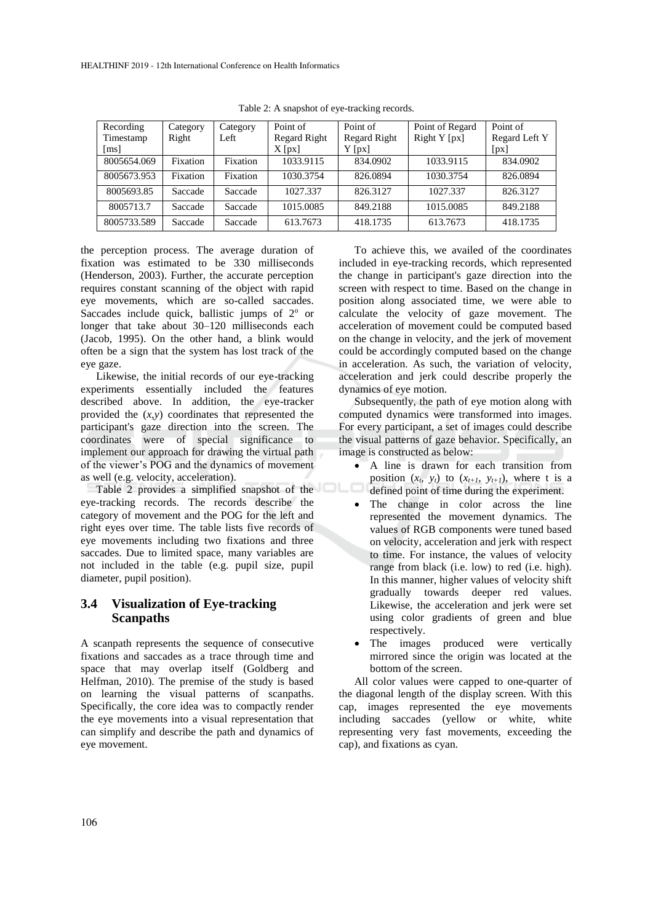| Recording          | Category | Category | Point of     | Point of            | Point of Regard | Point of      |
|--------------------|----------|----------|--------------|---------------------|-----------------|---------------|
| Timestamp          | Right    | Left     | Regard Right | <b>Regard Right</b> | Right $Y$ [px]  | Regard Left Y |
| $\lceil ms \rceil$ |          |          | $X$ [px]     | $Y$ [px]            |                 | [px]          |
| 8005654.069        | Fixation | Fixation | 1033.9115    | 834.0902            | 1033.9115       | 834.0902      |
| 8005673.953        | Fixation | Fixation | 1030.3754    | 826.0894            | 1030.3754       | 826.0894      |
| 8005693.85         | Saccade  | Saccade  | 1027.337     | 826.3127            | 1027.337        | 826.3127      |
| 8005713.7          | Saccade  | Saccade  | 1015.0085    | 849.2188            | 1015.0085       | 849.2188      |
| 8005733.589        | Saccade  | Saccade  | 613.7673     | 418.1735            | 613.7673        | 418.1735      |

Table 2: A snapshot of eye-tracking records.

the perception process. The average duration of fixation was estimated to be 330 milliseconds (Henderson, 2003). Further, the accurate perception requires constant scanning of the object with rapid eye movements, which are so-called saccades. Saccades include quick, ballistic jumps of  $2^{\circ}$  or longer that take about 30–120 milliseconds each (Jacob, 1995). On the other hand, a blink would often be a sign that the system has lost track of the eye gaze.

Likewise, the initial records of our eye-tracking experiments essentially included the features described above. In addition, the eye-tracker provided the (*x,y*) coordinates that represented the participant's gaze direction into the screen. The coordinates were of special significance to implement our approach for drawing the virtual path of the viewer's POG and the dynamics of movement as well (e.g. velocity, acceleration).

Table 2 provides a simplified snapshot of the eye-tracking records. The records describe the category of movement and the POG for the left and right eyes over time. The table lists five records of eye movements including two fixations and three saccades. Due to limited space, many variables are not included in the table (e.g. pupil size, pupil diameter, pupil position).

#### **3.4 Visualization of Eye-tracking Scanpaths**

A scanpath represents the sequence of consecutive fixations and saccades as a trace through time and space that may overlap itself (Goldberg and Helfman, 2010). The premise of the study is based on learning the visual patterns of scanpaths. Specifically, the core idea was to compactly render the eye movements into a visual representation that can simplify and describe the path and dynamics of eye movement.

To achieve this, we availed of the coordinates included in eye-tracking records, which represented the change in participant's gaze direction into the screen with respect to time. Based on the change in position along associated time, we were able to calculate the velocity of gaze movement. The acceleration of movement could be computed based on the change in velocity, and the jerk of movement could be accordingly computed based on the change in acceleration. As such, the variation of velocity, acceleration and jerk could describe properly the dynamics of eye motion.

Subsequently, the path of eye motion along with computed dynamics were transformed into images. For every participant, a set of images could describe the visual patterns of gaze behavior. Specifically, an image is constructed as below:

- A line is drawn for each transition from position  $(x_t, y_t)$  to  $(x_{t+1}, y_{t+1})$ , where t is a defined point of time during the experiment.
- The change in color across the line represented the movement dynamics. The values of RGB components were tuned based on velocity, acceleration and jerk with respect to time. For instance, the values of velocity range from black (i.e. low) to red (i.e. high). In this manner, higher values of velocity shift gradually towards deeper red values. Likewise, the acceleration and jerk were set using color gradients of green and blue respectively.
- The images produced were vertically mirrored since the origin was located at the bottom of the screen.

All color values were capped to one-quarter of the diagonal length of the display screen. With this cap, images represented the eye movements including saccades (yellow or white, white representing very fast movements, exceeding the cap), and fixations as cyan.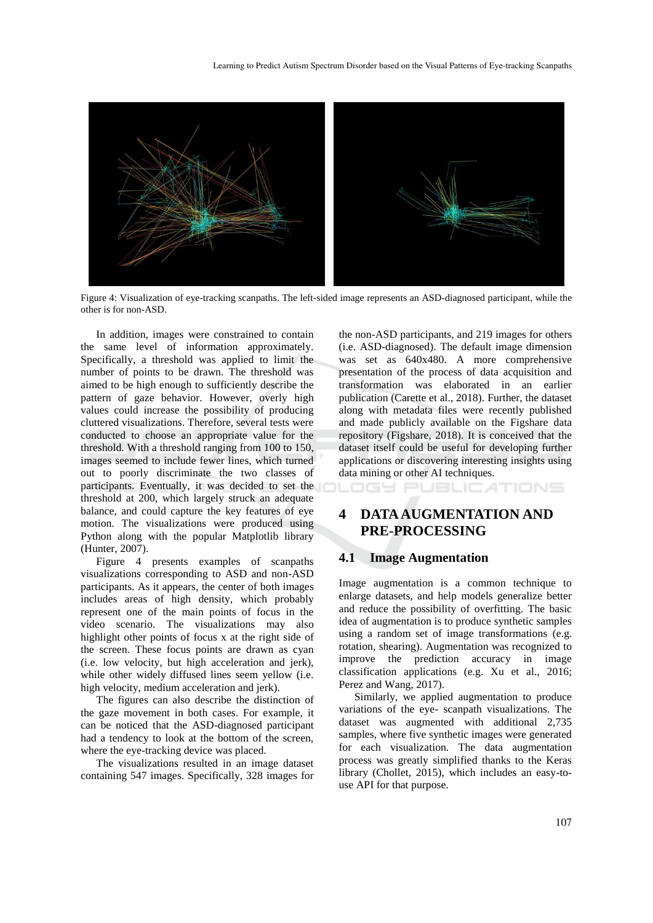

Figure 4: Visualization of eye-tracking scanpaths. The left-sided image represents an ASD-diagnosed participant, while the other is for non-ASD.

In addition, images were constrained to contain the same level of information approximately. Specifically, a threshold was applied to limit the number of points to be drawn. The threshold was aimed to be high enough to sufficiently describe the pattern of gaze behavior. However, overly high values could increase the possibility of producing cluttered visualizations. Therefore, several tests were conducted to choose an appropriate value for the threshold. With a threshold ranging from 100 to 150, images seemed to include fewer lines, which turned out to poorly discriminate the two classes of participants. Eventually, it was decided to set the threshold at 200, which largely struck an adequate balance, and could capture the key features of eye motion. The visualizations were produced using Python along with the popular Matplotlib library (Hunter, 2007).

Figure 4 presents examples of scanpaths visualizations corresponding to ASD and non-ASD participants. As it appears, the center of both images includes areas of high density, which probably represent one of the main points of focus in the video scenario. The visualizations may also highlight other points of focus x at the right side of the screen. These focus points are drawn as cyan (i.e. low velocity, but high acceleration and jerk), while other widely diffused lines seem yellow (i.e. high velocity, medium acceleration and jerk).

The figures can also describe the distinction of the gaze movement in both cases. For example, it can be noticed that the ASD-diagnosed participant had a tendency to look at the bottom of the screen, where the eve-tracking device was placed.

The visualizations resulted in an image dataset containing 547 images. Specifically, 328 images for

the non-ASD participants, and 219 images for others (i.e. ASD-diagnosed). The default image dimension was set as 640x480. A more comprehensive presentation of the process of data acquisition and transformation was elaborated in an earlier publication (Carette et al., 2018). Further, the dataset along with metadata files were recently published and made publicly available on the Figshare data repository (Figshare, 2018). It is conceived that the dataset itself could be useful for developing further applications or discovering interesting insights using data mining or other AI techniques. **DGY PUBLICATIONS** 

# **4 DATA AUGMENTATION AND PRE-PROCESSING**

#### **4.1 Image Augmentation**

Image augmentation is a common technique to enlarge datasets, and help models generalize better and reduce the possibility of overfitting. The basic idea of augmentation is to produce synthetic samples using a random set of image transformations (e.g. rotation, shearing). Augmentation was recognized to improve the prediction accuracy in image classification applications (e.g. Xu et al., 2016; Perez and Wang, 2017).

Similarly, we applied augmentation to produce variations of the eye- scanpath visualizations. The dataset was augmented with additional 2,735 samples, where five synthetic images were generated for each visualization. The data augmentation process was greatly simplified thanks to the Keras library (Chollet, 2015), which includes an easy-touse API for that purpose.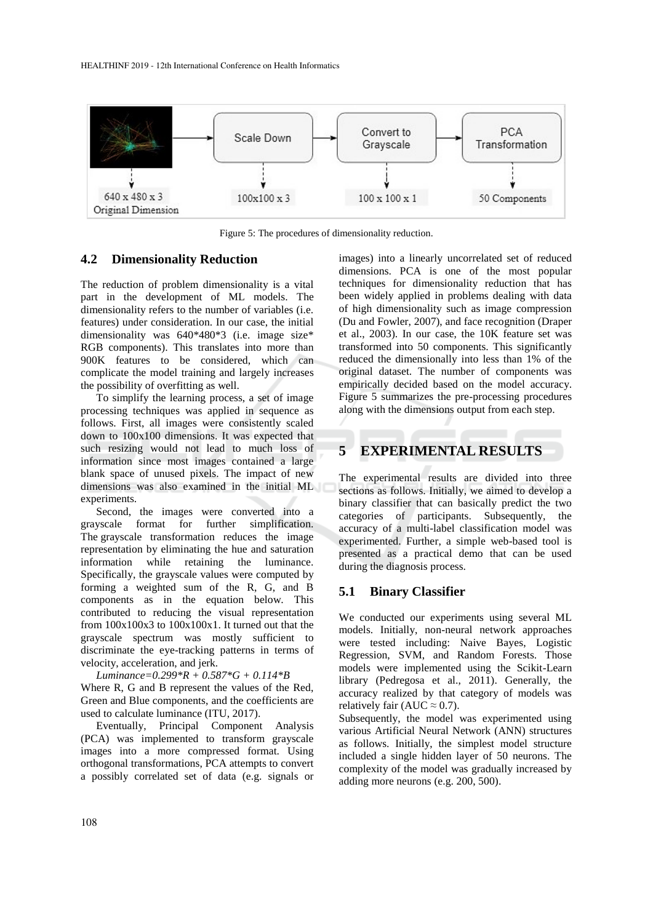

Figure 5: The procedures of dimensionality reduction.

#### **4.2 Dimensionality Reduction**

The reduction of problem dimensionality is a vital part in the development of ML models. The dimensionality refers to the number of variables (i.e. features) under consideration. In our case, the initial dimensionality was 640\*480\*3 (i.e. image size\* RGB components). This translates into more than 900K features to be considered, which can complicate the model training and largely increases the possibility of overfitting as well.

To simplify the learning process, a set of image processing techniques was applied in sequence as follows. First, all images were consistently scaled down to 100x100 dimensions. It was expected that such resizing would not lead to much loss of information since most images contained a large blank space of unused pixels. The impact of new dimensions was also examined in the initial ML experiments.

Second, the images were converted into a grayscale format for further simplification. The grayscale transformation reduces the image representation by eliminating the hue and saturation information while retaining the luminance. Specifically, the grayscale values were computed by forming a weighted sum of the R, G, and B components as in the equation below. This contributed to reducing the visual representation from 100x100x3 to 100x100x1. It turned out that the grayscale spectrum was mostly sufficient to discriminate the eye-tracking patterns in terms of velocity, acceleration, and jerk.

*Luminance=0.299\*R + 0.587\*G + 0.114\*B*  Where R, G and B represent the values of the Red, Green and Blue components, and the coefficients are used to calculate luminance (ITU, 2017).

Eventually, Principal Component Analysis (PCA) was implemented to transform grayscale images into a more compressed format. Using orthogonal transformations, PCA attempts to convert a possibly correlated set of data (e.g. signals or

images) into a linearly uncorrelated set of reduced dimensions. PCA is one of the most popular techniques for dimensionality reduction that has been widely applied in problems dealing with data of high dimensionality such as image compression (Du and Fowler, 2007), and face recognition (Draper et al., 2003). In our case, the 10K feature set was transformed into 50 components. This significantly reduced the dimensionally into less than 1% of the original dataset. The number of components was empirically decided based on the model accuracy. Figure 5 summarizes the pre-processing procedures along with the dimensions output from each step.

# **5 EXPERIMENTAL RESULTS**

The experimental results are divided into three sections as follows. Initially, we aimed to develop a binary classifier that can basically predict the two categories of participants. Subsequently, the accuracy of a multi-label classification model was experimented. Further, a simple web-based tool is presented as a practical demo that can be used during the diagnosis process.

#### **5.1 Binary Classifier**

We conducted our experiments using several ML models. Initially, non-neural network approaches were tested including: Naive Bayes, Logistic Regression, SVM, and Random Forests. Those models were implemented using the Scikit-Learn library (Pedregosa et al., 2011). Generally, the accuracy realized by that category of models was relatively fair (AUC  $\approx$  0.7).

Subsequently, the model was experimented using various Artificial Neural Network (ANN) structures as follows. Initially, the simplest model structure included a single hidden layer of 50 neurons. The complexity of the model was gradually increased by adding more neurons (e.g. 200, 500).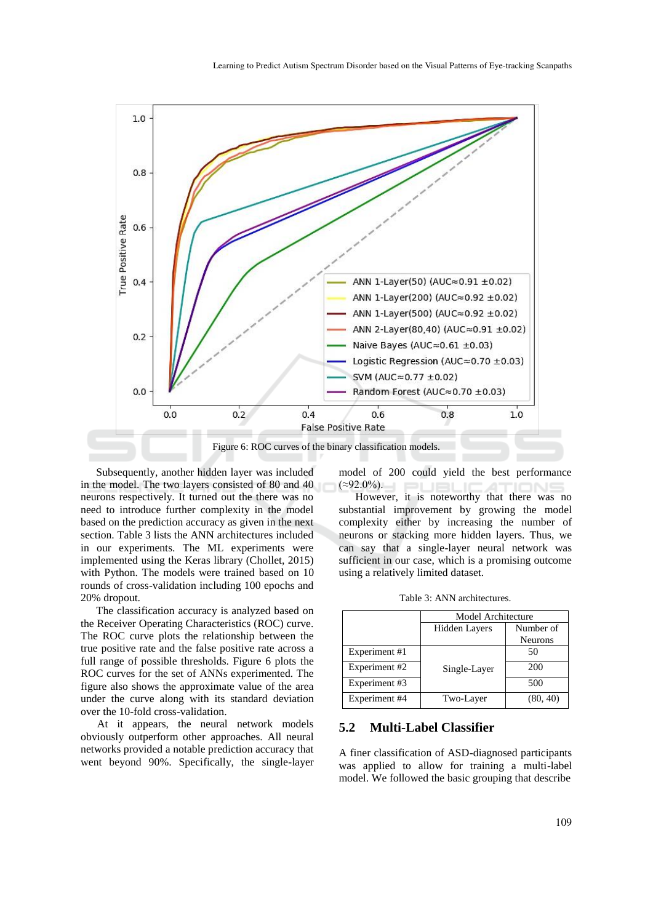

Subsequently, another hidden layer was included in the model. The two layers consisted of 80 and 40 neurons respectively. It turned out the there was no need to introduce further complexity in the model based on the prediction accuracy as given in the next section. Table 3 lists the ANN architectures included in our experiments. The ML experiments were implemented using the Keras library (Chollet, 2015) with Python. The models were trained based on 10 rounds of cross-validation including 100 epochs and 20% dropout.

The classification accuracy is analyzed based on the Receiver Operating Characteristics (ROC) curve. The ROC curve plots the relationship between the true positive rate and the false positive rate across a full range of possible thresholds. Figure 6 plots the ROC curves for the set of ANNs experimented. The figure also shows the approximate value of the area under the curve along with its standard deviation over the 10-fold cross-validation.

At it appears, the neural network models obviously outperform other approaches. All neural networks provided a notable prediction accuracy that went beyond 90%. Specifically, the single-layer model of 200 could yield the best performance  $(\approx 92.0\%)$ .

However, it is noteworthy that there was no substantial improvement by growing the model complexity either by increasing the number of neurons or stacking more hidden layers. Thus, we can say that a single-layer neural network was sufficient in our case, which is a promising outcome using a relatively limited dataset.

Table 3: ANN architectures.

|               | Model Architecture   |                |  |
|---------------|----------------------|----------------|--|
|               | <b>Hidden Layers</b> | Number of      |  |
|               |                      | <b>Neurons</b> |  |
| Experiment #1 |                      | 50             |  |
| Experiment #2 | Single-Layer         | 200            |  |
| Experiment #3 |                      | 500            |  |
| Experiment #4 | Two-Layer            | (80, 40)       |  |

#### **5.2 Multi-Label Classifier**

A finer classification of ASD-diagnosed participants was applied to allow for training a multi-label model. We followed the basic grouping that describe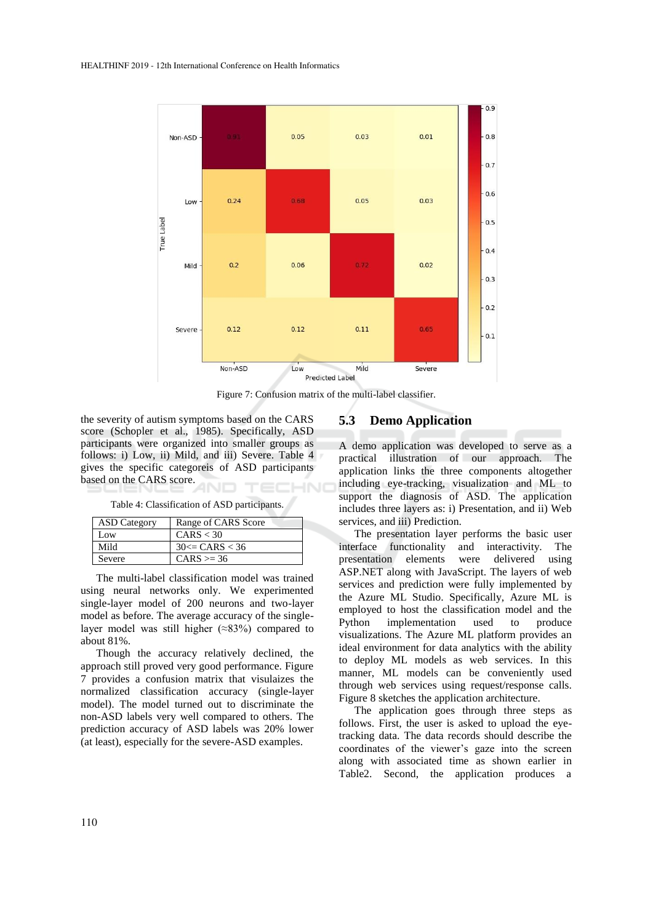

Figure 7: Confusion matrix of the multi-label classifier.

the severity of autism symptoms based on the CARS score (Schopler et al., 1985). Specifically, ASD participants were organized into smaller groups as follows: i) Low, ii) Mild, and iii) Severe. Table 4 gives the specific categoreis of ASD participants based on the CARS score. HNC

Table 4: Classification of ASD participants.

| <b>ASD</b> Category | Range of CARS Score |
|---------------------|---------------------|
| Low                 | CARS < 30           |
| Mild                | $30 \leq CARS < 36$ |
| Severe              | $CARS \ge 36$       |

The multi-label classification model was trained using neural networks only. We experimented single-layer model of 200 neurons and two-layer model as before. The average accuracy of the singlelayer model was still higher (≈83%) compared to about 81%.

Though the accuracy relatively declined, the approach still proved very good performance. Figure 7 provides a confusion matrix that visulaizes the normalized classification accuracy (single-layer model). The model turned out to discriminate the non-ASD labels very well compared to others. The prediction accuracy of ASD labels was 20% lower (at least), especially for the severe*-*ASD examples.

#### **5.3 Demo Application**

A demo application was developed to serve as a practical illustration of our approach. The application links the three components altogether including eye-tracking, visualization and ML to support the diagnosis of ASD. The application includes three layers as: i) Presentation, and ii) Web services, and iii) Prediction.

The presentation layer performs the basic user interface functionality and interactivity. The presentation elements were delivered using ASP.NET along with JavaScript. The layers of web services and prediction were fully implemented by the Azure ML Studio. Specifically, Azure ML is employed to host the classification model and the Python implementation used to produce visualizations. The Azure ML platform provides an ideal environment for data analytics with the ability to deploy ML models as web services. In this manner, ML models can be conveniently used through web services using request/response calls. Figure 8 sketches the application architecture.

The application goes through three steps as follows. First, the user is asked to upload the eyetracking data. The data records should describe the coordinates of the viewer's gaze into the screen along with associated time as shown earlier in Table2. Second, the application produces a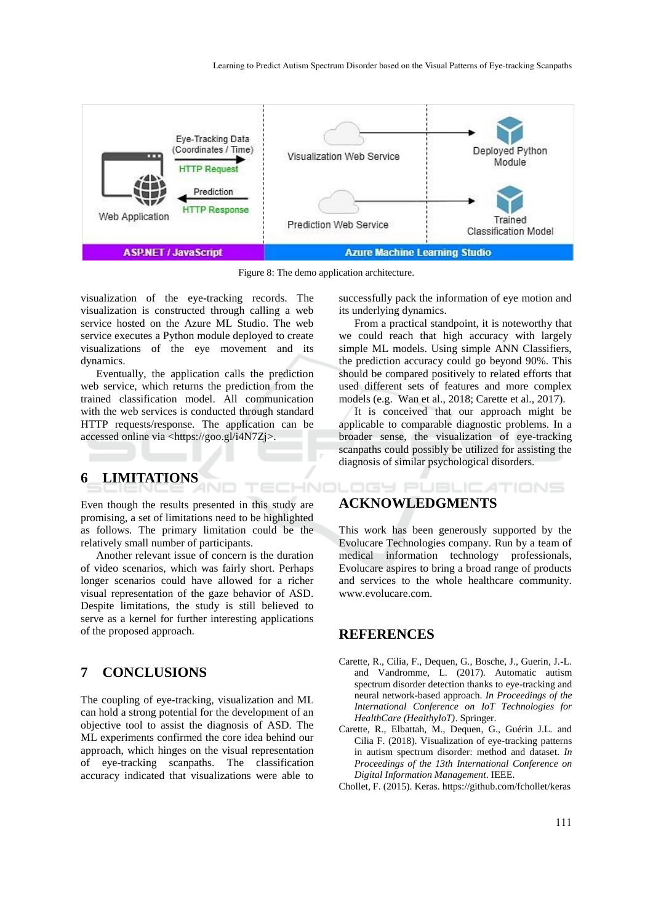

Figure 8: The demo application architecture.

TECHNO

visualization of the eye-tracking records. The visualization is constructed through calling a web service hosted on the Azure ML Studio. The web service executes a Python module deployed to create visualizations of the eye movement and its dynamics.

Eventually, the application calls the prediction web service, which returns the prediction from the trained classification model. All communication with the web services is conducted through standard HTTP requests/response. The application can be accessed online via <https://goo.gl/i4N7Zj>.

# **6 LIMITATIONS**

Even though the results presented in this study are promising, a set of limitations need to be highlighted as follows. The primary limitation could be the relatively small number of participants.

Another relevant issue of concern is the duration of video scenarios, which was fairly short. Perhaps longer scenarios could have allowed for a richer visual representation of the gaze behavior of ASD. Despite limitations, the study is still believed to serve as a kernel for further interesting applications of the proposed approach.

## **7 CONCLUSIONS**

The coupling of eye-tracking, visualization and ML can hold a strong potential for the development of an objective tool to assist the diagnosis of ASD. The ML experiments confirmed the core idea behind our approach, which hinges on the visual representation of eye-tracking scanpaths. The classification accuracy indicated that visualizations were able to

successfully pack the information of eye motion and its underlying dynamics.

From a practical standpoint, it is noteworthy that we could reach that high accuracy with largely simple ML models. Using simple ANN Classifiers, the prediction accuracy could go beyond 90%. This should be compared positively to related efforts that used different sets of features and more complex models (e.g. Wan et al., 2018; Carette et al., 2017).

It is conceived that our approach might be applicable to comparable diagnostic problems. In a broader sense, the visualization of eye-tracking scanpaths could possibly be utilized for assisting the diagnosis of similar psychological disorders.

ATIONS

## ogy PUBLIC **ACKNOWLEDGMENTS**

This work has been generously supported by the Evolucare Technologies company. Run by a team of medical information technology professionals, Evolucare aspires to bring a broad range of products and services to the whole healthcare community. www.evolucare.com.

#### **REFERENCES**

- Carette, R., Cilia, F., Dequen, G., Bosche, J., Guerin, J.-L. and Vandromme, L. (2017). Automatic autism spectrum disorder detection thanks to eye-tracking and neural network-based approach. *In Proceedings of the International Conference on IoT Technologies for HealthCare (HealthyIoT)*. Springer.
- Carette, R., Elbattah, M., Dequen, G., Guérin J.L. and Cilia F. (2018). Visualization of eye-tracking patterns in autism spectrum disorder: method and dataset. *In Proceedings of the 13th International Conference on Digital Information Management*. IEEE.
- Chollet, F. (2015). Keras. https://github.com/fchollet/keras